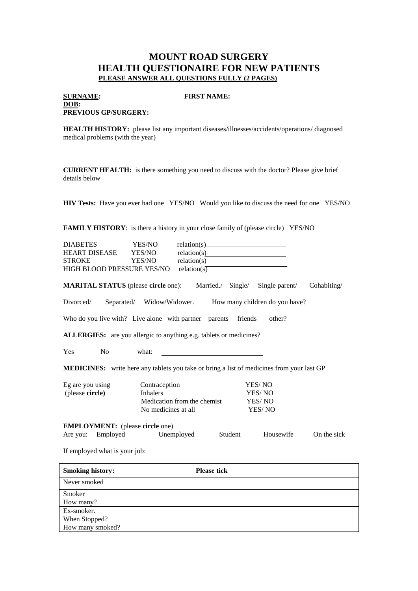## **MOUNT ROAD SURGERY HEALTH QUESTIONAIRE FOR NEW PATIENTS PLEASE ANSWER ALL QUESTIONS FULLY (2 PAGES)**

## **SURNAME: FIRST NAME:**

**DOB: PREVIOUS GP/SURGERY:**

**HEALTH HISTORY:** please list any important diseases/illnesses/accidents/operations/ diagnosed medical problems (with the year)

**CURRENT HEALTH:** is there something you need to discuss with the doctor? Please give brief details below

**HIV Tests:** Have you ever had one YES/NO Would you like to discuss the need for one YES/NO

**FAMILY HISTORY:** is there a history in your close family of (please circle) YES/NO

| <b>DIABETES</b>                                                                                  | YES/NO              | $relation(s)$ $\qquad \qquad \qquad$ $\qquad \qquad \qquad$ $\qquad \qquad \qquad \qquad$ |         |                                                          |             |  |  |
|--------------------------------------------------------------------------------------------------|---------------------|-------------------------------------------------------------------------------------------|---------|----------------------------------------------------------|-------------|--|--|
| <b>HEART DISEASE</b>                                                                             | YES/NO              |                                                                                           |         |                                                          |             |  |  |
| <b>STROKE</b>                                                                                    | YES/NO              | relation(s)                                                                               |         |                                                          |             |  |  |
| HIGH BLOOD PRESSURE YES/NO                                                                       |                     | relation( $s$ )                                                                           |         |                                                          |             |  |  |
| <b>MARITAL STATUS</b> (please <b>circle</b> one): Married./                                      |                     |                                                                                           |         | Single/ Single parent/                                   | Cohabiting/ |  |  |
| Divorced/                                                                                        |                     |                                                                                           |         | Separated/ Widow/Widower. How many children do you have? |             |  |  |
| Who do you live with? Live alone with partner parents friends                                    |                     |                                                                                           |         | other?                                                   |             |  |  |
| ALLERGIES: are you allergic to anything e.g. tablets or medicines?                               |                     |                                                                                           |         |                                                          |             |  |  |
| N <sub>0</sub><br>Yes                                                                            | what:               |                                                                                           |         |                                                          |             |  |  |
| <b>MEDICINES:</b> write here any tablets you take or bring a list of medicines from your last GP |                     |                                                                                           |         |                                                          |             |  |  |
| Eg are you using                                                                                 | Contraception       |                                                                                           |         | YES/NO                                                   |             |  |  |
| (please circle)                                                                                  | <b>Inhalers</b>     | YES/NO                                                                                    |         |                                                          |             |  |  |
|                                                                                                  |                     | Medication from the chemist<br>YES/NO                                                     |         |                                                          |             |  |  |
|                                                                                                  | No medicines at all |                                                                                           |         | YES/NO                                                   |             |  |  |
| <b>EMPLOYMENT:</b> (please circle one)                                                           |                     |                                                                                           |         |                                                          |             |  |  |
| Are you: Employed                                                                                | Unemployed          |                                                                                           | Student | Housewife                                                | On the sick |  |  |
| If employed what is your job:                                                                    |                     |                                                                                           |         |                                                          |             |  |  |

| <b>Smoking history:</b> | <b>Please tick</b> |
|-------------------------|--------------------|
| Never smoked            |                    |
| Smoker                  |                    |
| How many?               |                    |
| Ex-smoker.              |                    |
| When Stopped?           |                    |
| How many smoked?        |                    |